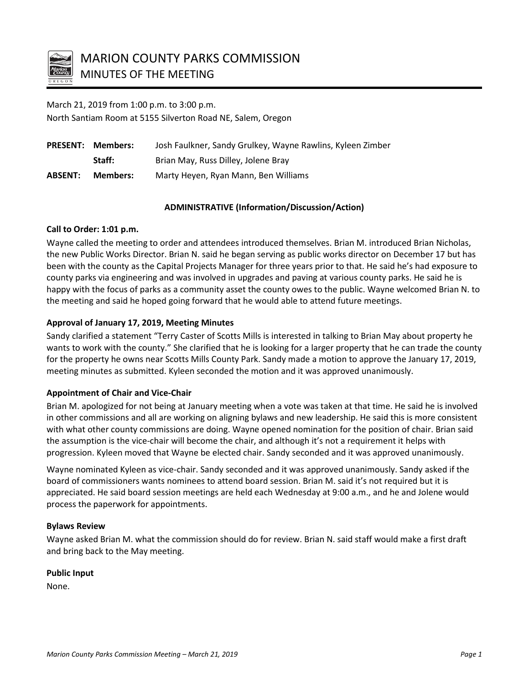

March 21, 2019 from 1:00 p.m. to 3:00 p.m. North Santiam Room at 5155 Silverton Road NE, Salem, Oregon

|                | <b>PRESENT: Members:</b> | Josh Faulkner, Sandy Grulkey, Wayne Rawlins, Kyleen Zimber |
|----------------|--------------------------|------------------------------------------------------------|
|                | Staff:                   | Brian May, Russ Dilley, Jolene Bray                        |
| <b>ABSENT:</b> | Members:                 | Marty Heyen, Ryan Mann, Ben Williams                       |

## **ADMINISTRATIVE (Information/Discussion/Action)**

## **Call to Order: 1:01 p.m.**

Wayne called the meeting to order and attendees introduced themselves. Brian M. introduced Brian Nicholas, the new Public Works Director. Brian N. said he began serving as public works director on December 17 but has been with the county as the Capital Projects Manager for three years prior to that. He said he's had exposure to county parks via engineering and was involved in upgrades and paving at various county parks. He said he is happy with the focus of parks as a community asset the county owes to the public. Wayne welcomed Brian N. to the meeting and said he hoped going forward that he would able to attend future meetings.

# **Approval of January 17, 2019, Meeting Minutes**

Sandy clarified a statement "Terry Caster of Scotts Mills is interested in talking to Brian May about property he wants to work with the county." She clarified that he is looking for a larger property that he can trade the county for the property he owns near Scotts Mills County Park. Sandy made a motion to approve the January 17, 2019, meeting minutes as submitted. Kyleen seconded the motion and it was approved unanimously.

# **Appointment of Chair and Vice-Chair**

Brian M. apologized for not being at January meeting when a vote was taken at that time. He said he is involved in other commissions and all are working on aligning bylaws and new leadership. He said this is more consistent with what other county commissions are doing. Wayne opened nomination for the position of chair. Brian said the assumption is the vice-chair will become the chair, and although it's not a requirement it helps with progression. Kyleen moved that Wayne be elected chair. Sandy seconded and it was approved unanimously.

Wayne nominated Kyleen as vice-chair. Sandy seconded and it was approved unanimously. Sandy asked if the board of commissioners wants nominees to attend board session. Brian M. said it's not required but it is appreciated. He said board session meetings are held each Wednesday at 9:00 a.m., and he and Jolene would process the paperwork for appointments.

## **Bylaws Review**

Wayne asked Brian M. what the commission should do for review. Brian N. said staff would make a first draft and bring back to the May meeting.

## **Public Input**

None.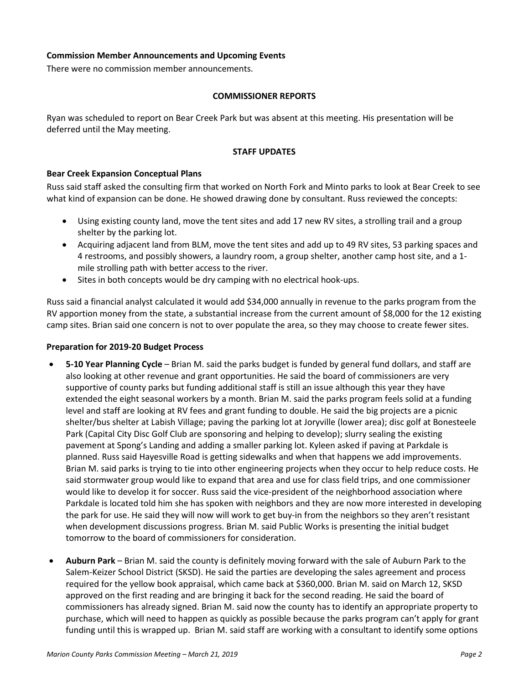## **Commission Member Announcements and Upcoming Events**

There were no commission member announcements.

#### **COMMISSIONER REPORTS**

Ryan was scheduled to report on Bear Creek Park but was absent at this meeting. His presentation will be deferred until the May meeting.

#### **STAFF UPDATES**

## **Bear Creek Expansion Conceptual Plans**

Russ said staff asked the consulting firm that worked on North Fork and Minto parks to look at Bear Creek to see what kind of expansion can be done. He showed drawing done by consultant. Russ reviewed the concepts:

- Using existing county land, move the tent sites and add 17 new RV sites, a strolling trail and a group shelter by the parking lot.
- Acquiring adjacent land from BLM, move the tent sites and add up to 49 RV sites, 53 parking spaces and 4 restrooms, and possibly showers, a laundry room, a group shelter, another camp host site, and a 1 mile strolling path with better access to the river.
- Sites in both concepts would be dry camping with no electrical hook-ups.

Russ said a financial analyst calculated it would add \$34,000 annually in revenue to the parks program from the RV apportion money from the state, a substantial increase from the current amount of \$8,000 for the 12 existing camp sites. Brian said one concern is not to over populate the area, so they may choose to create fewer sites.

#### **Preparation for 2019-20 Budget Process**

- **5-10 Year Planning Cycle** Brian M. said the parks budget is funded by general fund dollars, and staff are also looking at other revenue and grant opportunities. He said the board of commissioners are very supportive of county parks but funding additional staff is still an issue although this year they have extended the eight seasonal workers by a month. Brian M. said the parks program feels solid at a funding level and staff are looking at RV fees and grant funding to double. He said the big projects are a picnic shelter/bus shelter at Labish Village; paving the parking lot at Joryville (lower area); disc golf at Bonesteele Park (Capital City Disc Golf Club are sponsoring and helping to develop); slurry sealing the existing pavement at Spong's Landing and adding a smaller parking lot. Kyleen asked if paving at Parkdale is planned. Russ said Hayesville Road is getting sidewalks and when that happens we add improvements. Brian M. said parks is trying to tie into other engineering projects when they occur to help reduce costs. He said stormwater group would like to expand that area and use for class field trips, and one commissioner would like to develop it for soccer. Russ said the vice-president of the neighborhood association where Parkdale is located told him she has spoken with neighbors and they are now more interested in developing the park for use. He said they will now will work to get buy-in from the neighbors so they aren't resistant when development discussions progress. Brian M. said Public Works is presenting the initial budget tomorrow to the board of commissioners for consideration.
- **Auburn Park** Brian M. said the county is definitely moving forward with the sale of Auburn Park to the Salem-Keizer School District (SKSD). He said the parties are developing the sales agreement and process required for the yellow book appraisal, which came back at \$360,000. Brian M. said on March 12, SKSD approved on the first reading and are bringing it back for the second reading. He said the board of commissioners has already signed. Brian M. said now the county has to identify an appropriate property to purchase, which will need to happen as quickly as possible because the parks program can't apply for grant funding until this is wrapped up. Brian M. said staff are working with a consultant to identify some options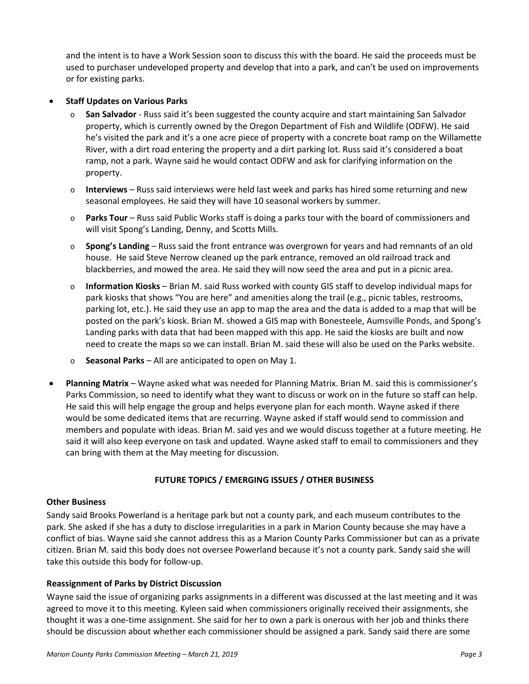and the intent is to have a Work Session soon to discuss this with the board. He said the proceeds must be used to purchaser undeveloped property and develop that into a park, and can't be used on improvements or for existing parks.

## • **Staff Updates on Various Parks**

- o **San Salvador** Russ said it's been suggested the county acquire and start maintaining San Salvador property, which is currently owned by the Oregon Department of Fish and Wildlife (ODFW). He said he's visited the park and it's a one acre piece of property with a concrete boat ramp on the Willamette River, with a dirt road entering the property and a dirt parking lot. Russ said it's considered a boat ramp, not a park. Wayne said he would contact ODFW and ask for clarifying information on the property.
- o **Interviews** Russ said interviews were held last week and parks has hired some returning and new seasonal employees. He said they will have 10 seasonal workers by summer.
- o **Parks Tour** Russ said Public Works staff is doing a parks tour with the board of commissioners and will visit Spong's Landing, Denny, and Scotts Mills.
- o **Spong's Landing** Russ said the front entrance was overgrown for years and had remnants of an old house. He said Steve Nerrow cleaned up the park entrance, removed an old railroad track and blackberries, and mowed the area. He said they will now seed the area and put in a picnic area.
- o **Information Kiosks** Brian M. said Russ worked with county GIS staff to develop individual maps for park kiosks that shows "You are here" and amenities along the trail (e.g., picnic tables, restrooms, parking lot, etc.). He said they use an app to map the area and the data is added to a map that will be posted on the park's kiosk. Brian M. showed a GIS map with Bonesteele, Aumsville Ponds, and Spong's Landing parks with data that had been mapped with this app. He said the kiosks are built and now need to create the maps so we can install. Brian M. said these will also be used on the Parks website.
- o **Seasonal Parks** All are anticipated to open on May 1.
- **Planning Matrix** Wayne asked what was needed for Planning Matrix. Brian M. said this is commissioner's Parks Commission, so need to identify what they want to discuss or work on in the future so staff can help. He said this will help engage the group and helps everyone plan for each month. Wayne asked if there would be some dedicated items that are recurring. Wayne asked if staff would send to commission and members and populate with ideas. Brian M. said yes and we would discuss together at a future meeting. He said it will also keep everyone on task and updated. Wayne asked staff to email to commissioners and they can bring with them at the May meeting for discussion.

# **FUTURE TOPICS / EMERGING ISSUES / OTHER BUSINESS**

## **Other Business**

Sandy said Brooks Powerland is a heritage park but not a county park, and each museum contributes to the park. She asked if she has a duty to disclose irregularities in a park in Marion County because she may have a conflict of bias. Wayne said she cannot address this as a Marion County Parks Commissioner but can as a private citizen. Brian M. said this body does not oversee Powerland because it's not a county park. Sandy said she will take this outside this body for follow-up.

## **Reassignment of Parks by District Discussion**

Wayne said the issue of organizing parks assignments in a different was discussed at the last meeting and it was agreed to move it to this meeting. Kyleen said when commissioners originally received their assignments, she thought it was a one-time assignment. She said for her to own a park is onerous with her job and thinks there should be discussion about whether each commissioner should be assigned a park. Sandy said there are some